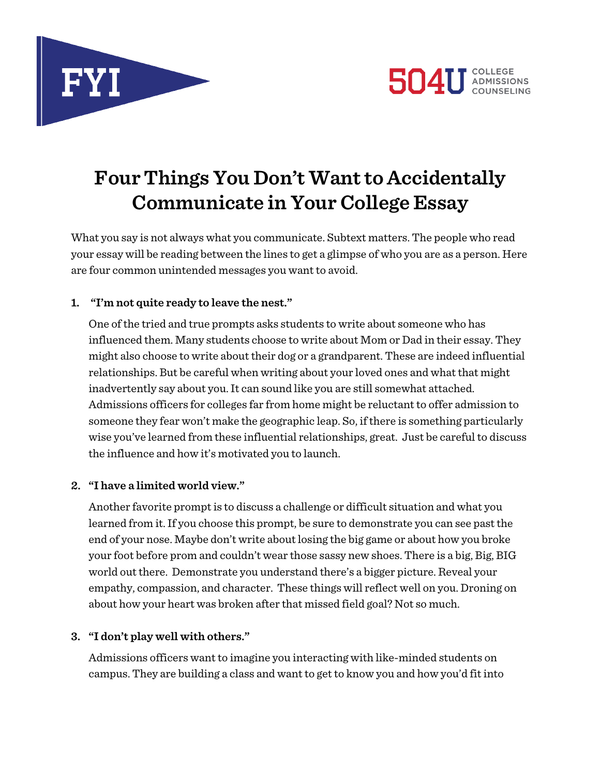



# **Four Things You Don't Want to Accidentally Communicate in Your College Essay**

What you say is not always what you communicate. Subtext matters. The people who read your essay will be reading between the lines to get a glimpse of who you are as a person. Here are four common unintended messages you want to avoid.

#### **1. "I'm not quite ready to leave the nest."**

One of the tried and true prompts asks students to write about someone who has influenced them. Many students choose to write about Mom or Dad in their essay. They might also choose to write about their dog or a grandparent. These are indeed influential relationships. But be careful when writing about your loved ones and what that might inadvertently say about you. It can sound like you are still somewhat attached. Admissions officers for colleges far from home might be reluctant to offer admission to someone they fear won't make the geographic leap. So, if there is something particularly wise you've learned from these influential relationships, great. Just be careful to discuss the influence and how it's motivated you to launch.

### **2. "I have a limited world view."**

Another favorite prompt is to discuss a challenge or difficult situation and what you learned from it. If you choose this prompt, be sure to demonstrate you can see past the end of your nose. Maybe don't write about losing the big game or about how you broke your foot before prom and couldn't wear those sassy new shoes. There is a big, Big, BIG world out there. Demonstrate you understand there's a bigger picture. Reveal your empathy, compassion, and character. These things will reflect well on you. Droning on about how your heart was broken after that missed field goal? Not so much.

#### **3. "I don't play well with others."**

Admissions officers want to imagine you interacting with like-minded students on campus. They are building a class and want to get to know you and how you'd fit into